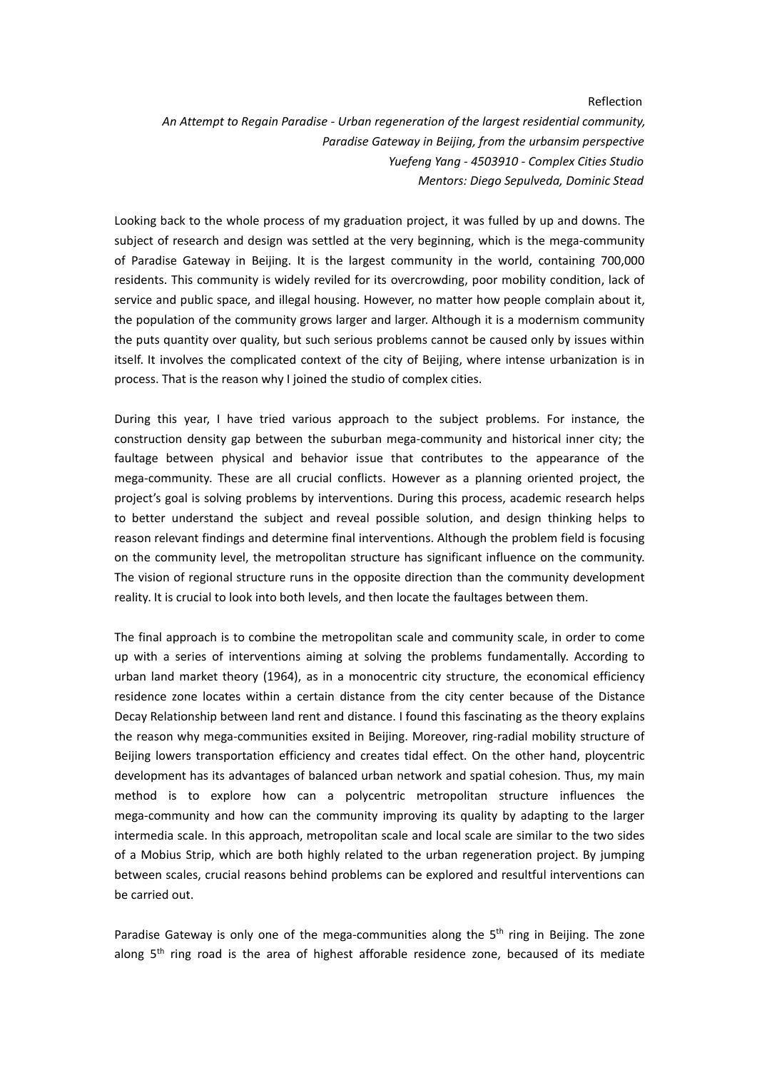## Reflection

*An Attempt to Regain Paradise - Urban regeneration of the largest residential community, Paradise Gateway in Beijing, from the urbansim perspective Yuefeng Yang - 4503910 - Complex Cities Studio Mentors: Diego Sepulveda, Dominic Stead*

Looking back to the whole process of my graduation project, it was fulled by up and downs. The subject of research and design was settled at the very beginning, which is the mega-community of Paradise Gateway in Beijing. It is the largest community in the world, containing 700,000 residents. This community is widely reviled for its overcrowding, poor mobility condition, lack of service and public space, and illegal housing. However, no matter how people complain about it, the population of the community grows larger and larger. Although it is a modernism community the puts quantity over quality, but such serious problems cannot be caused only by issues within itself. It involves the complicated context of the city of Beijing, where intense urbanization is in process. That is the reason why I joined the studio of complex cities.

During this year, I have tried various approach to the subject problems. For instance, the construction density gap between the suburban mega-community and historical inner city; the faultage between physical and behavior issue that contributes to the appearance of the mega-community. These are all crucial conflicts. However as a planning oriented project, the project's goal is solving problems by interventions. During this process, academic research helps to better understand the subject and reveal possible solution, and design thinking helps to reason relevant findings and determine final interventions. Although the problem field is focusing on the community level, the metropolitan structure has significant influence on the community. The vision of regional structure runs in the opposite direction than the community development reality. It is crucial to look into both levels, and then locate the faultages between them.

The final approach is to combine the metropolitan scale and community scale, in order to come up with a series of interventions aiming at solving the problems fundamentally. According to urban land market theory (1964), as in amonocentric city structure, the economical efficiency residence zone locates within a certain distance from the city center because of the Distance Decay Relationship between land rent and distance. I found this fascinating as the theory explains the reason why mega-communities exsited in Beijing. Moreover, ring-radial mobility structure of Beijing lowers transportation efficiency and creates tidal effect. On the other hand, ploycentric development has its advantages of balanced urban network and spatial cohesion. Thus, my main method is to explore how can a polycentric metropolitan structure influences the mega-community and how can the community improving its quality by adapting to the larger intermedia scale. In this approach, metropolitan scale and local scale are similar to the two sides of a Mobius Strip, which are both highly related to the urban regeneration project. By jumping between scales, crucial reasons behind problems can be explored and resultful interventions can be carried out.

Paradise Gateway is only one of the mega-communities along the 5<sup>th</sup> ring in Beijing. The zone along 5<sup>th</sup> ring road is the area of highest afforable residence zone, becaused of its mediate